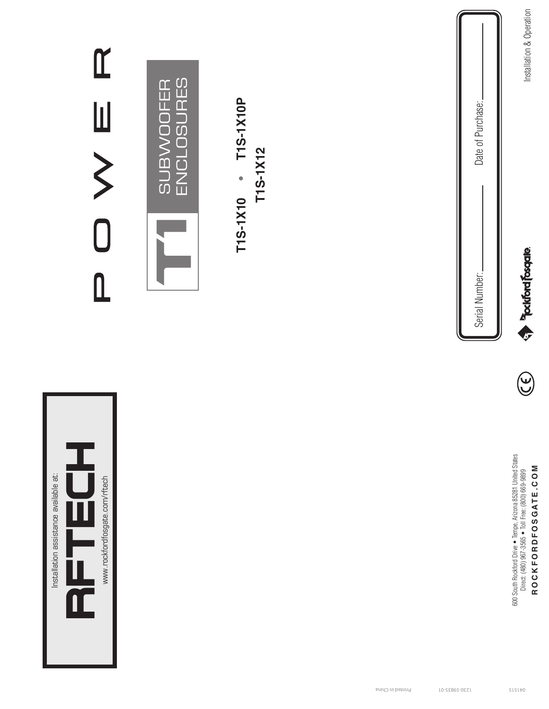| $\mathfrak{C}$<br>山 >                                                        | <b>ENCLOSURES</b><br><b>SUBWOOFER</b> | T1S-1X10P<br>T1S-1X12<br>T1S-1X10 |                  | Date of Purchase:<br>Serial Number: | Installation & Operation<br><b>Exploration property</b>                                                                                    |
|------------------------------------------------------------------------------|---------------------------------------|-----------------------------------|------------------|-------------------------------------|--------------------------------------------------------------------------------------------------------------------------------------------|
|                                                                              |                                       |                                   |                  |                                     | $\bigodot$                                                                                                                                 |
| Installation assistance available at:<br>www.rockfordfosgate.com/rftech<br>щ |                                       |                                   |                  |                                     | 600 South Rockford Drive • Tempe, Arizona 85281 United States<br>Direct: (480) 967-3565 • Toll Free: (800) 669-9899<br>ROCKFORDFOSGATE.COM |
|                                                                              |                                       |                                   | Printed in China | LO-SE86S-0EZL                       | SLSLb0                                                                                                                                     |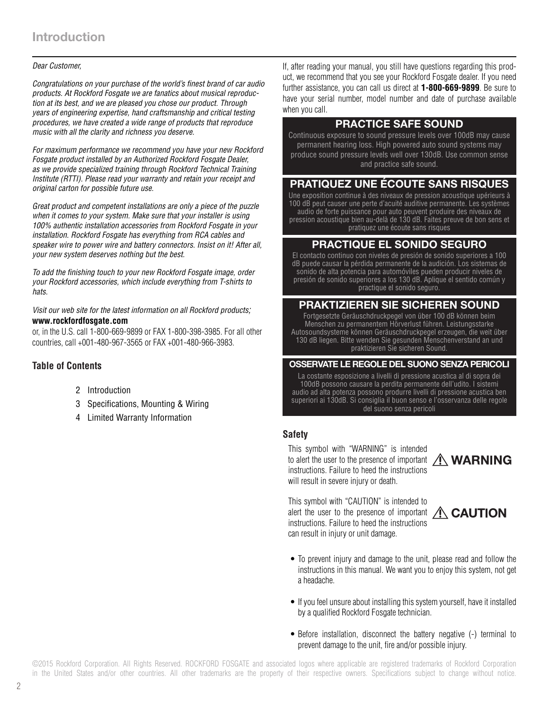### *Dear Customer,*

*Congratulations on your purchase of the world's finest brand of car audio products. At Rockford Fosgate we are fanatics about musical reproduction at its best, and we are pleased you chose our product. Through years of engineering expertise, hand craftsmanship and critical testing procedures, we have created a wide range of products that reproduce music with all the clarity and richness you deserve.*

*For maximum performance we recommend you have your new Rockford Fosgate product installed by an Authorized Rockford Fosgate Dealer, as we provide specialized training through Rockford Technical Training Institute (RTTI). Please read your warranty and retain your receipt and original carton for possible future use.*

*Great product and competent installations are only a piece of the puzzle when it comes to your system. Make sure that your installer is using 100% authentic installation accessories from Rockford Fosgate in your installation. Rockford Fosgate has everything from RCA cables and speaker wire to power wire and battery connectors. Insist on it! After all, your new system deserves nothing but the best.*

*To add the finishing touch to your new Rockford Fosgate image, order your Rockford accessories, which include everything from T-shirts to hats.*

*Visit our web site for the latest information on all Rockford products;*  **www.rockfordfosgate.com** 

or, in the U.S. call 1-800-669-9899 or FAX 1-800-398-3985. For all other countries, call +001-480-967-3565 or FAX +001-480-966-3983.

### **Table of Contents**

- 2 Introduction
- 3 Specifications, Mounting & Wiring
- 4 Limited Warranty Information

If, after reading your manual, you still have questions regarding this product, we recommend that you see your Rockford Fosgate dealer. If you need further assistance, you can call us direct at **1-800-669-9899**. Be sure to have your serial number, model number and date of purchase available when you call.

# PRACTICE SAFE SOUND

Continuous exposure to sound pressure levels over 100dB may cause permanent hearing loss. High powered auto sound systems may produce sound pressure levels well over 130dB. Use common sense and practice safe sound.

# PRATIQUEZ UNE ÉCOUTE SANS RISQUES

Une exposition continue à des niveaux de pression acoustique upérieurs à 100 dB peut causer une perte d'acuité auditive permanente. Les systèmes audio de forte puissance pour auto peuvent produire des niveaux de pression acoustique bien au-delà de 130 dB. Faites preuve de bon sens et pratiquez une écoute sans risques

# PRACTIQUE EL SONIDO SEGURO

El contacto continuo con niveles de presión de sonido superiores a 100 dB puede causar la pérdida permanente de la audición. Los sistemas de sonido de alta potencia para automóviles pueden producir niveles de presión de sonido superiores a los 130 dB. Aplique el sentido común y practique el sonido seguro.

### PRAKTIZIEREN SIE SICHEREN SOUND

Fortgesetzte Geräuschdruckpegel von über 100 dB können beim Menschen zu permanentem Hörverlust führen. Leistungsstarke Autosoundsysteme können Geräuschdruckpegel erzeugen, die weit über 130 dB liegen. Bitte wenden Sie gesunden Menschenverstand an und praktizieren Sie sicheren Sound.

#### OSSERVATE LE REGOLE DEL SUONO SENZA PERICOLI

La costante esposizione a livelli di pressione acustica al di sopra dei 100dB possono causare la perdita permanente dell'udito. I sistemi audio ad alta potenza possono produrre livelli di pressione acustica ben superiori ai 130dB. Si consiglia il buon senso e l'osservanza delle regole del suono senza pericoli

### **Safety**

This symbol with "WARNING" is intended to alert the user to the presence of important  $\bigwedge$  **WARNING** instructions. Failure to heed the instructions will result in severe injury or death.



This symbol with "CAUTION" is intended to alert the user to the presence of important  $\bigwedge$  **CAUTION** instructions. Failure to heed the instructions can result in injury or unit damage.



- To prevent injury and damage to the unit, please read and follow the instructions in this manual. We want you to enjoy this system, not get a headache.
- If you feel unsure about installing this system yourself, have it installed by a qualified Rockford Fosgate technician.
- Before installation, disconnect the battery negative (-) terminal to prevent damage to the unit, fire and/or possible injury.

2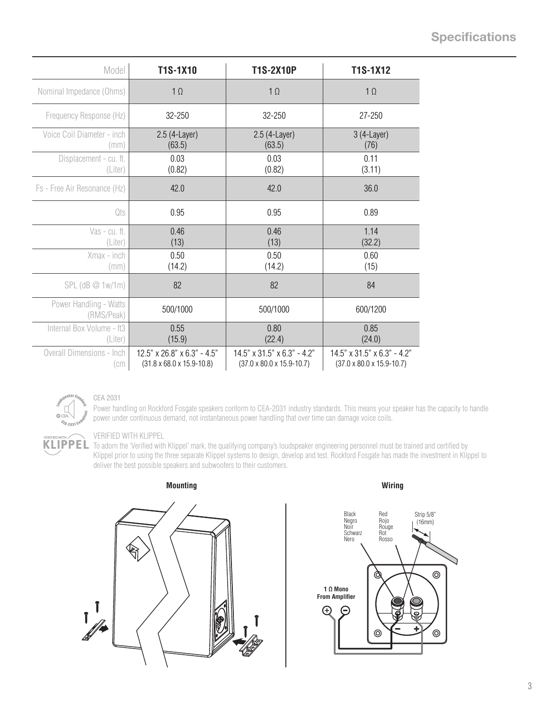# **Specifications**

| Model                                   | T1S-1X10                                                               | <b>T1S-2X10P</b>                                                                   | T1S-1X12                                                                  |
|-----------------------------------------|------------------------------------------------------------------------|------------------------------------------------------------------------------------|---------------------------------------------------------------------------|
| Nominal Impedance (Ohms)                | $1 \Omega$                                                             | $1 \Omega$                                                                         | $1 \Omega$                                                                |
| Frequency Response (Hz)                 | 32-250                                                                 | 32-250                                                                             | 27-250                                                                    |
| Voice Coil Diameter - inch<br>(mm)      | 2.5 (4-Layer)<br>(63.5)                                                | 2.5 (4-Layer)<br>(63.5)                                                            | $3(4$ -Layer)<br>(76)                                                     |
| Displacement - cu. ft.<br>(Liter)       | 0.03<br>(0.82)                                                         | 0.03<br>(0.82)                                                                     | 0.11<br>(3.11)                                                            |
| Fs - Free Air Resonance (Hz)            | 42.0                                                                   | 42.0                                                                               | 36.0                                                                      |
| Qts                                     | 0.95                                                                   | 0.95                                                                               | 0.89                                                                      |
| Vas - cu. ft.<br>(Liter)                | 0.46<br>(13)                                                           | 0.46<br>(13)                                                                       | 1.14<br>(32.2)                                                            |
| Xmax - inch<br>(mm)                     | 0.50<br>(14.2)                                                         | 0.50<br>(14.2)                                                                     | 0.60<br>(15)                                                              |
| $SPL$ (dB $@1w/1m)$                     | 82                                                                     | 82                                                                                 | 84                                                                        |
| Power Handling - Watts<br>(RMS/Peak)    | 500/1000                                                               | 500/1000                                                                           | 600/1200                                                                  |
| Internal Box Volume - ft3<br>(Liter)    | 0.55<br>(15.9)                                                         | 0.80<br>(22.4)                                                                     | 0.85<br>(24.0)                                                            |
| <b>Overall Dimensions - Inch</b><br>(cm | 12.5" x 26.8" x 6.3" - 4.5"<br>$(31.8 \times 68.0 \times 15.9 - 10.8)$ | $14.5" \times 31.5" \times 6.3" - 4.2"$<br>$(37.0 \times 80.0 \times 15.9 - 10.7)$ | $14.5$ " x 31.5" x 6.3" - 4.2"<br>$(37.0 \times 80.0 \times 15.9 - 10.7)$ |



#### CEA 2031

Power handling on Rockford Fosgate speakers conform to CEA-2031 industry standards. This means your speaker has the capacity to handle power under continuous demand, not instantaneous power handling that over time can damage voice coils.

#### VERIFIED WITH KLIPPEL

**KLIPPEL** To adorn the 'Verified with Klippel' mark, the qualifying company's loudspeaker engineering personnel must be trained and certified by Klippel prior to using the three separate Klippel systems to design, develop and test. Rockford Fosgate has made the investment in Klippel to deliver the best possible speakers and subwoofers to their customers.